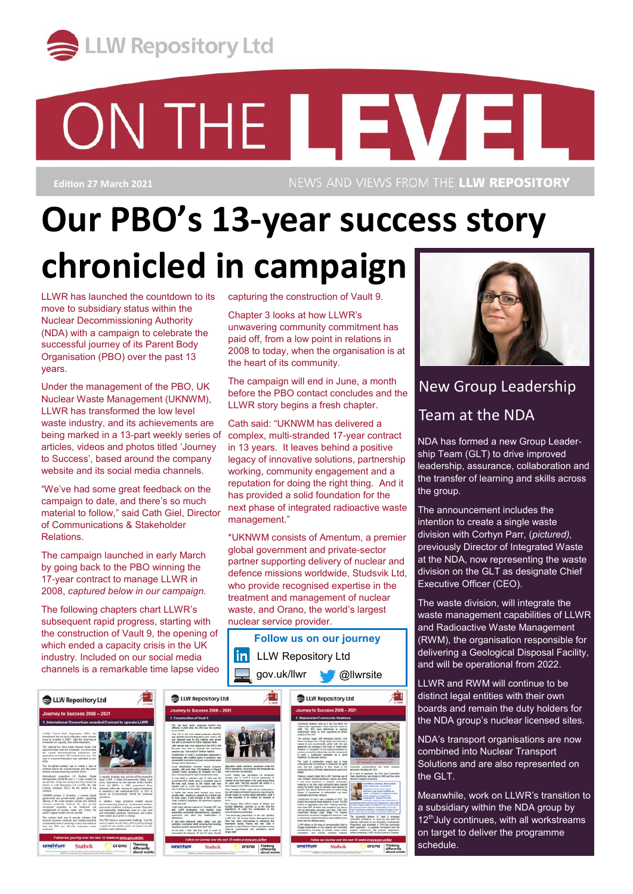

# ON THE LEVEL

**Edition 27 March 2021**

NEWS AND VIEWS FROM THE LLW REPOSITORY

## **Our PBO's 13-year success story chronicled in campaign**

capturing the construction of Vault 9. Chapter 3 looks at how LLWR's

the heart of its community.

management."

nuclear service provider.

unwavering community commitment has paid off, from a low point in relations in 2008 to today, when the organisation is at

The campaign will end in June, a month before the PBO contact concludes and the LLWR story begins a fresh chapter. Cath said: "UKNWM has delivered a complex, multi-stranded 17-year contract in 13 years. It leaves behind a positive legacy of innovative solutions, partnership working, community engagement and a reputation for doing the right thing. And it has provided a solid foundation for the next phase of integrated radioactive waste

\*UKNWM consists of Amentum, a premier global government and private-sector partner supporting delivery of nuclear and defence missions worldwide, Studsvik Ltd, who provide recognised expertise in the treatment and management of nuclear waste, and Orano, the world's largest

**Follow us on our journey**

LLWR has launched the countdown to its move to subsidiary status within the Nuclear Decommissioning Authority (NDA) with a campaign to celebrate the successful journey of its Parent Body Organisation (PBO) over the past 13 years.

Under the management of the PBO, UK Nuclear Waste Management (UKNWM), LLWR has transformed the low level waste industry, and its achievements are being marked in a 13-part weekly series of articles, videos and photos titled 'Journey to Success', based around the company website and its social media channels.

"We've had some great feedback on the campaign to date, and there's so much material to follow," said Cath Giel, Director of Communications & Stakeholder Relations.

The campaign launched in early March by going back to the PBO winning the 17-year contract to manage LLWR in 2008, *captured below in our campaign.*

The following chapters chart LLWR's subsequent rapid progress, starting with the construction of Vault 9, the opening of which ended a capacity crisis in the UK industry. Included on our social media channels is a remarkable time lapse video

gov.uk/llwr @llwrsite LLW Repository Ltd LLW Repository Ltd LLW Repository Ltd The low level week landscape looked very Community receives were at a low etca when the<br>Planet Body Digwenuter (PBC) box over LLWP in<br>2008. The PBC were determined 10 - reprove<br>midlicrologic hands on their experience of strate ed register progress<br>I residents of Drigg &<br>in invitation for a site -<br>Next of Ham and<br>of up at the Stat De delivered codes, within one and<br>restrict meaning that meaning

from within **Lating Report** 

New Group Leadership Team at the NDA

NDA has formed a new Group Leadership Team (GLT) to drive improved leadership, assurance, collaboration and the transfer of learning and skills across the group.

The announcement includes the intention to create a single waste division with Corhyn Parr, (*pictured),*  previously Director of Integrated Waste at the NDA, now representing the waste division on the GLT as designate Chief Executive Officer (CEO).

The waste division, will integrate the waste management capabilities of LLWR and Radioactive Waste Management (RWM), the organisation responsible for delivering a Geological Disposal Facility, and will be operational from 2022.

LLWR and RWM will continue to be distinct legal entities with their own boards and remain the duty holders for the NDA group's nuclear licensed sites.

NDA's transport organisations are now combined into Nuclear Transport Solutions and are also represented on the GLT.

Meanwhile, work on LLWR's transition to a subsidiary within the NDA group by 12<sup>th</sup>July continues, with all workstreams on target to deliver the programme schedule.

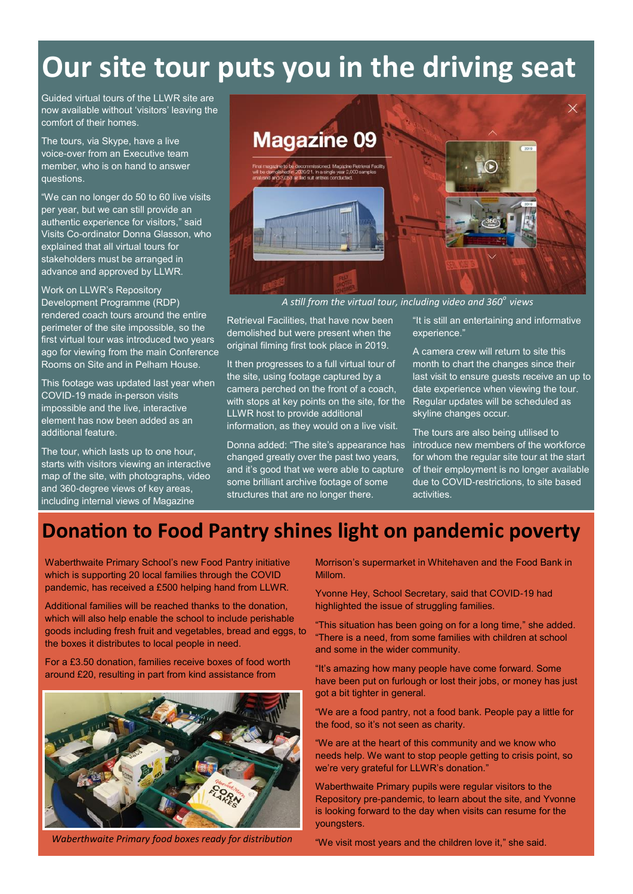### **Our site tour puts you in the driving seat**

Guided virtual tours of the LLWR site are now available without 'visitors' leaving the comfort of their homes.

The tours, via Skype, have a live voice-over from an Executive team member, who is on hand to answer questions.

"We can no longer do 50 to 60 live visits per year, but we can still provide an authentic experience for visitors," said Visits Co-ordinator Donna Glasson, who explained that all virtual tours for stakeholders must be arranged in advance and approved by LLWR.

Work on LLWR's Repository Development Programme (RDP) rendered coach tours around the entire perimeter of the site impossible, so the first virtual tour was introduced two years ago for viewing from the main Conference Rooms on Site and in Pelham House.

This footage was updated last year when COVID-19 made in-person visits impossible and the live, interactive element has now been added as an additional feature.

The tour, which lasts up to one hour, starts with visitors viewing an interactive map of the site, with photographs, video and 360-degree views of key areas, including internal views of Magazine



*A still from the virtual tour, including video and 360<sup>o</sup>views*

Retrieval Facilities, that have now been demolished but were present when the original filming first took place in 2019.

It then progresses to a full virtual tour of the site, using footage captured by a camera perched on the front of a coach, with stops at key points on the site, for the Regular updates will be scheduled as LLWR host to provide additional information, as they would on a live visit.

Donna added: "The site's appearance has introduce new members of the workforce changed greatly over the past two years, and it's good that we were able to capture some brilliant archive footage of some structures that are no longer there.

"It is still an entertaining and informative experience."

A camera crew will return to site this month to chart the changes since their last visit to ensure guests receive an up to date experience when viewing the tour. skyline changes occur.

The tours are also being utilised to for whom the regular site tour at the start of their employment is no longer available due to COVID-restrictions, to site based activities.

### **Donation to Food Pantry shines light on pandemic poverty**

Waberthwaite Primary School's new Food Pantry initiative which is supporting 20 local families through the COVID pandemic, has received a £500 helping hand from LLWR.

Additional families will be reached thanks to the donation, which will also help enable the school to include perishable goods including fresh fruit and vegetables, bread and eggs, to the boxes it distributes to local people in need.

For a £3.50 donation, families receive boxes of food worth around £20, resulting in part from kind assistance from



*Waberthwaite Primary food boxes ready for distribution* "We visit most years and the children love it," she said.

Morrison's supermarket in Whitehaven and the Food Bank in Millom.

Yvonne Hey, School Secretary, said that COVID-19 had highlighted the issue of struggling families.

"This situation has been going on for a long time," she added. "There is a need, from some families with children at school and some in the wider community.

"It's amazing how many people have come forward. Some have been put on furlough or lost their jobs, or money has just got a bit tighter in general.

"We are a food pantry, not a food bank. People pay a little for the food, so it's not seen as charity.

"We are at the heart of this community and we know who needs help. We want to stop people getting to crisis point, so we're very grateful for LLWR's donation."

Waberthwaite Primary pupils were regular visitors to the Repository pre-pandemic, to learn about the site, and Yvonne is looking forward to the day when visits can resume for the youngsters.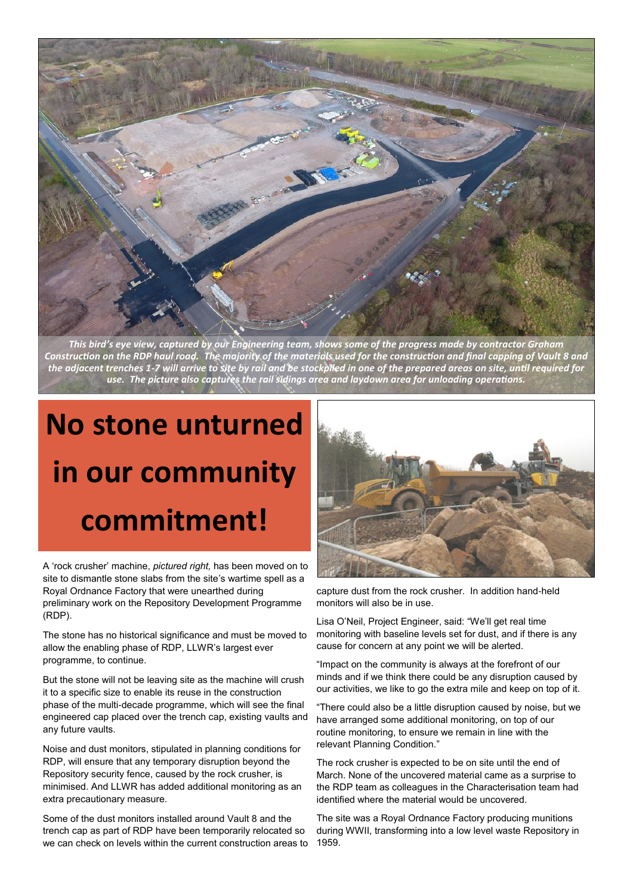

*This bird's eye view, captured by our Engineering team, shows some of the progress made by contractor Graham Construction on the RDP haul road. The majority of the materials used for the construction and final capping of Vault 8 and the adjacent trenches 1-7 will arrive to site by rail and be stockpiled in one of the prepared areas on site, until required for use. The picture also captures the rail sidings area and laydown area for unloading operations.*

# **No stone unturned in our community commitment!**

A 'rock crusher' machine, *pictured right,* has been moved on to site to dismantle stone slabs from the site's wartime spell as a Royal Ordnance Factory that were unearthed during preliminary work on the Repository Development Programme (RDP).

The stone has no historical significance and must be moved to allow the enabling phase of RDP, LLWR's largest ever programme, to continue.

But the stone will not be leaving site as the machine will crush it to a specific size to enable its reuse in the construction phase of the multi-decade programme, which will see the final engineered cap placed over the trench cap, existing vaults and any future vaults.

Noise and dust monitors, stipulated in planning conditions for RDP, will ensure that any temporary disruption beyond the Repository security fence, caused by the rock crusher, is minimised. And LLWR has added additional monitoring as an extra precautionary measure.

Some of the dust monitors installed around Vault 8 and the trench cap as part of RDP have been temporarily relocated so we can check on levels within the current construction areas to



capture dust from the rock crusher. In addition hand-held monitors will also be in use.

Lisa O'Neil, Project Engineer, said: "We'll get real time monitoring with baseline levels set for dust, and if there is any cause for concern at any point we will be alerted.

"Impact on the community is always at the forefront of our minds and if we think there could be any disruption caused by our activities, we like to go the extra mile and keep on top of it.

"There could also be a little disruption caused by noise, but we have arranged some additional monitoring, on top of our routine monitoring, to ensure we remain in line with the relevant Planning Condition."

The rock crusher is expected to be on site until the end of March. None of the uncovered material came as a surprise to the RDP team as colleagues in the Characterisation team had identified where the material would be uncovered.

The site was a Royal Ordnance Factory producing munitions during WWII, transforming into a low level waste Repository in 1959.